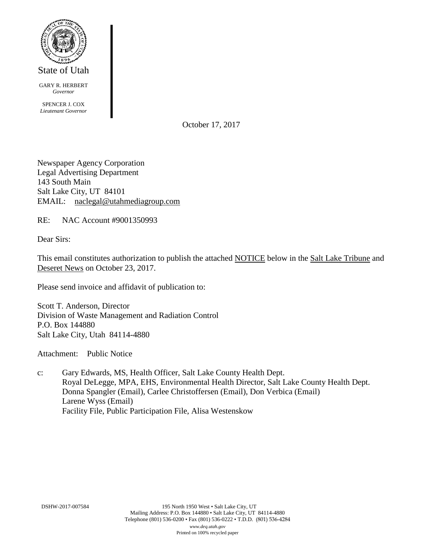

GARY R. HERBERT *Governor*

SPENCER J. COX *Lieutenant Governor*

October 17, 2017

Newspaper Agency Corporation Legal Advertising Department 143 South Main Salt Lake City, UT 84101 EMAIL: naclegal@utahmediagroup.com

RE: NAC Account #9001350993

Dear Sirs:

This email constitutes authorization to publish the attached NOTICE below in the Salt Lake Tribune and Deseret News on October 23, 2017.

Please send invoice and affidavit of publication to:

Scott T. Anderson, Director Division of Waste Management and Radiation Control P.O. Box 144880 Salt Lake City, Utah 84114-4880

Attachment: Public Notice

c: Gary Edwards, MS, Health Officer, Salt Lake County Health Dept. Royal DeLegge, MPA, EHS, Environmental Health Director, Salt Lake County Health Dept. Donna Spangler (Email), Carlee Christoffersen (Email), Don Verbica (Email) Larene Wyss (Email) Facility File, Public Participation File, Alisa Westenskow